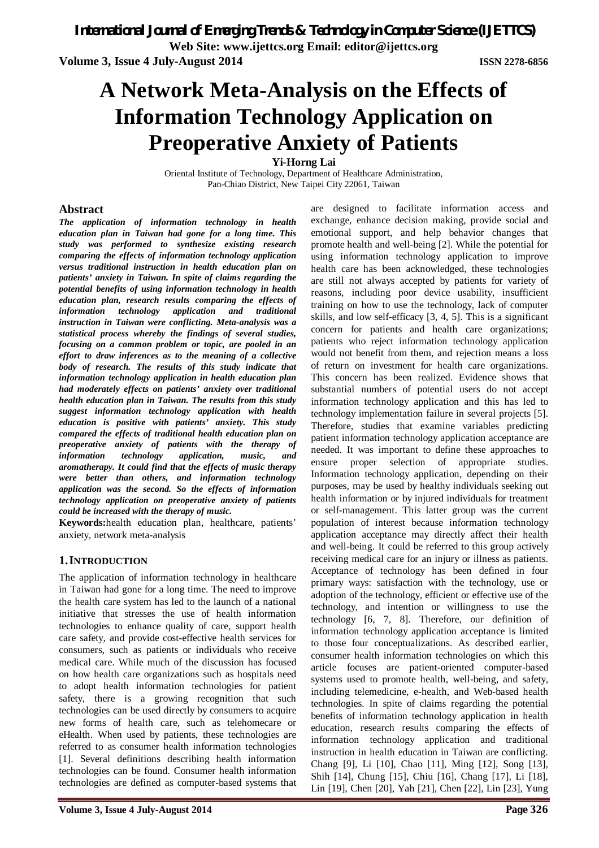**Web Site: www.ijettcs.org Email: editor@ijettcs.org** 

**Volume 3, Issue 4 July-August 2014 ISSN 2278-6856**

# **A Network Meta-Analysis on the Effects of Information Technology Application on Preoperative Anxiety of Patients**

**Yi-Horng Lai**

Oriental Institute of Technology, Department of Healthcare Administration, Pan-Chiao District, New Taipei City 22061, Taiwan

## **Abstract**

*The application of information technology in health education plan in Taiwan had gone for a long time. This study was performed to synthesize existing research comparing the effects of information technology application versus traditional instruction in health education plan on patients' anxiety in Taiwan. In spite of claims regarding the potential benefits of using information technology in health education plan, research results comparing the effects of information technology application and traditional instruction in Taiwan were conflicting. Meta-analysis was a statistical process whereby the findings of several studies, focusing on a common problem or topic, are pooled in an effort to draw inferences as to the meaning of a collective body of research. The results of this study indicate that information technology application in health education plan had moderately effects on patients' anxiety over traditional health education plan in Taiwan. The results from this study suggest information technology application with health education is positive with patients' anxiety. This study compared the effects of traditional health education plan on preoperative anxiety of patients with the therapy of information technology application, music, and aromatherapy. It could find that the effects of music therapy were better than others, and information technology application was the second. So the effects of information technology application on preoperative anxiety of patients could be increased with the therapy of music.*

**Keywords:**health education plan, healthcare, patients' anxiety, network meta-analysis

# **1.INTRODUCTION**

The application of information technology in healthcare in Taiwan had gone for a long time. The need to improve the health care system has led to the launch of a national initiative that stresses the use of health information technologies to enhance quality of care, support health care safety, and provide cost-effective health services for consumers, such as patients or individuals who receive medical care. While much of the discussion has focused on how health care organizations such as hospitals need to adopt health information technologies for patient safety, there is a growing recognition that such technologies can be used directly by consumers to acquire new forms of health care, such as telehomecare or eHealth. When used by patients, these technologies are referred to as consumer health information technologies [1]. Several definitions describing health information technologies can be found. Consumer health information technologies are defined as computer-based systems that

are designed to facilitate information access and exchange, enhance decision making, provide social and emotional support, and help behavior changes that promote health and well-being [2]. While the potential for using information technology application to improve health care has been acknowledged, these technologies are still not always accepted by patients for variety of reasons, including poor device usability, insufficient training on how to use the technology, lack of computer skills, and low self-efficacy [3, 4, 5]. This is a significant concern for patients and health care organizations; patients who reject information technology application would not benefit from them, and rejection means a loss of return on investment for health care organizations. This concern has been realized. Evidence shows that substantial numbers of potential users do not accept information technology application and this has led to technology implementation failure in several projects [5]. Therefore, studies that examine variables predicting patient information technology application acceptance are needed. It was important to define these approaches to ensure proper selection of appropriate studies. Information technology application, depending on their purposes, may be used by healthy individuals seeking out health information or by injured individuals for treatment or self-management. This latter group was the current population of interest because information technology application acceptance may directly affect their health and well-being. It could be referred to this group actively receiving medical care for an injury or illness as patients. Acceptance of technology has been defined in four primary ways: satisfaction with the technology, use or adoption of the technology, efficient or effective use of the technology, and intention or willingness to use the technology [6, 7, 8]. Therefore, our definition of information technology application acceptance is limited to those four conceptualizations. As described earlier, consumer health information technologies on which this article focuses are patient-oriented computer-based systems used to promote health, well-being, and safety, including telemedicine, e-health, and Web-based health technologies. In spite of claims regarding the potential benefits of information technology application in health education, research results comparing the effects of information technology application and traditional instruction in health education in Taiwan are conflicting. Chang [9], Li [10], Chao [11], Ming [12], Song [13], Shih [14], Chung [15], Chiu [16], Chang [17], Li [18], Lin [19], Chen [20], Yah [21], Chen [22], Lin [23], Yung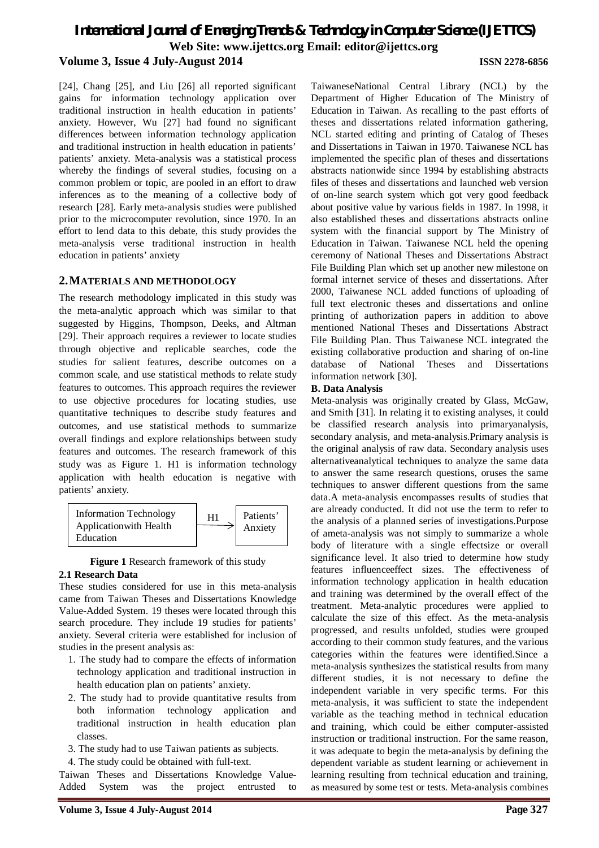[24], Chang [25], and Liu [26] all reported significant gains for information technology application over traditional instruction in health education in patients' anxiety. However, Wu [27] had found no significant differences between information technology application and traditional instruction in health education in patients' patients' anxiety. Meta-analysis was a statistical process whereby the findings of several studies, focusing on a common problem or topic, are pooled in an effort to draw inferences as to the meaning of a collective body of research [28]. Early meta-analysis studies were published prior to the microcomputer revolution, since 1970. In an effort to lend data to this debate, this study provides the meta-analysis verse traditional instruction in health education in patients' anxiety

# **2.MATERIALS AND METHODOLOGY**

The research methodology implicated in this study was the meta-analytic approach which was similar to that suggested by Higgins, Thompson, Deeks, and Altman [29]. Their approach requires a reviewer to locate studies through objective and replicable searches, code the studies for salient features, describe outcomes on a common scale, and use statistical methods to relate study features to outcomes. This approach requires the reviewer to use objective procedures for locating studies, use quantitative techniques to describe study features and outcomes, and use statistical methods to summarize overall findings and explore relationships between study features and outcomes. The research framework of this study was as Figure 1. H1 is information technology application with health education is negative with patients' anxiety.





#### **2.1 Research Data**

These studies considered for use in this meta-analysis came from Taiwan Theses and Dissertations Knowledge Value-Added System. 19 theses were located through this search procedure. They include 19 studies for patients' anxiety. Several criteria were established for inclusion of studies in the present analysis as:

- 1. The study had to compare the effects of information technology application and traditional instruction in health education plan on patients' anxiety.
- 2. The study had to provide quantitative results from both information technology application and traditional instruction in health education plan classes.
- 3. The study had to use Taiwan patients as subjects.
- 4. The study could be obtained with full-text.

Taiwan Theses and Dissertations Knowledge Value-Added System was the project entrusted to

TaiwaneseNational Central Library (NCL) by the Department of Higher Education of The Ministry of Education in Taiwan. As recalling to the past efforts of theses and dissertations related information gathering, NCL started editing and printing of Catalog of Theses and Dissertations in Taiwan in 1970. Taiwanese NCL has implemented the specific plan of theses and dissertations abstracts nationwide since 1994 by establishing abstracts files of theses and dissertations and launched web version of on-line search system which got very good feedback about positive value by various fields in 1987. In 1998, it also established theses and dissertations abstracts online system with the financial support by The Ministry of Education in Taiwan. Taiwanese NCL held the opening ceremony of National Theses and Dissertations Abstract File Building Plan which set up another new milestone on formal internet service of theses and dissertations. After 2000, Taiwanese NCL added functions of uploading of full text electronic theses and dissertations and online printing of authorization papers in addition to above mentioned National Theses and Dissertations Abstract File Building Plan. Thus Taiwanese NCL integrated the existing collaborative production and sharing of on-line database of National Theses and Dissertations information network [30].

#### **B. Data Analysis**

Meta-analysis was originally created by Glass, McGaw, and Smith [31]. In relating it to existing analyses, it could be classified research analysis into primaryanalysis, secondary analysis, and meta-analysis.Primary analysis is the original analysis of raw data. Secondary analysis uses alternativeanalytical techniques to analyze the same data to answer the same research questions, oruses the same techniques to answer different questions from the same data.A meta-analysis encompasses results of studies that are already conducted. It did not use the term to refer to the analysis of a planned series of investigations.Purpose of ameta-analysis was not simply to summarize a whole body of literature with a single effectsize or overall significance level. It also tried to determine how study features influenceeffect sizes. The effectiveness of information technology application in health education and training was determined by the overall effect of the treatment. Meta-analytic procedures were applied to calculate the size of this effect. As the meta-analysis progressed, and results unfolded, studies were grouped according to their common study features, and the various categories within the features were identified.Since a meta-analysis synthesizes the statistical results from many different studies, it is not necessary to define the independent variable in very specific terms. For this meta-analysis, it was sufficient to state the independent variable as the teaching method in technical education and training, which could be either computer-assisted instruction or traditional instruction. For the same reason, it was adequate to begin the meta-analysis by defining the dependent variable as student learning or achievement in learning resulting from technical education and training, as measured by some test or tests. Meta-analysis combines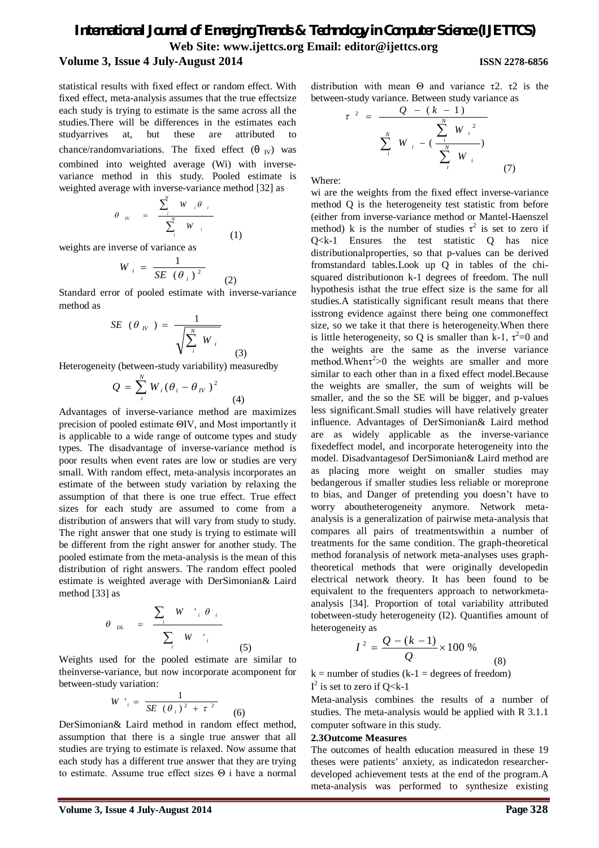statistical results with fixed effect or random effect. With fixed effect, meta-analysis assumes that the true effectsize each study is trying to estimate is the same across all the studies.There will be differences in the estimates each studyarrives at, but these are attributed to chance/randomvariations. The fixed effect  $(\theta_{\text{IV}})$  was combined into weighted average (Wi) with inversevariance method in this study. Pooled estimate is weighted average with inverse-variance method [32] as

$$
\theta_{W} = \frac{\sum_{i}^{N} W_{i} \theta_{i}}{\sum_{i}^{N} W_{i}}
$$

(1)

(2)

(3)

weights are inverse of variance as

$$
W_i = \frac{1}{SE(\theta_i)^2}
$$

Standard error of pooled estimate with inverse-variance method as

$$
SE\ (\theta_{W}) = \frac{1}{\sqrt{\sum_{i}^{N} W_{i}}}
$$

Heterogeneity (between-study variability) measuredby

$$
Q = \sum_{i}^{N} W_i (\theta_i - \theta_{i})^2
$$
 (4)

Advantages of inverse-variance method are maximizes precision of pooled estimate ΘIV, and Most importantly it is applicable to a wide range of outcome types and study types. The disadvantage of inverse-variance method is poor results when event rates are low or studies are very small. With random effect, meta-analysis incorporates an estimate of the between study variation by relaxing the assumption of that there is one true effect. True effect sizes for each study are assumed to come from a distribution of answers that will vary from study to study. The right answer that one study is trying to estimate will be different from the right answer for another study. The pooled estimate from the meta-analysis is the mean of this distribution of right answers. The random effect pooled estimate is weighted average with DerSimonian& Laird method [33] as

$$
\theta_{DL} = \frac{\sum_{i} W_{i} \theta_{i}}{\sum_{i} W_{i}} \qquad (5)
$$

Weights used for the pooled estimate are similar to theinverse-variance, but now incorporate acomponent for between-study variation:

$$
W^{-1}{}_{i} = \frac{1}{SE\ (\theta_{i})^{2} + \tau^{2}}
$$
 (6)

DerSimonian& Laird method in random effect method, assumption that there is a single true answer that all studies are trying to estimate is relaxed. Now assume that each study has a different true answer that they are trying to estimate. Assume true effect sizes Θ i have a normal distribution with mean Θ and variance τ2. τ2 is the between-study variance. Between study variance as

$$
\tau^{2} = \frac{Q - (k - 1)}{\sum_{i}^{N} W_{i} - (\frac{\sum_{i}^{N} W_{i}^{2}}{\sum_{i}^{N} W_{i}})}
$$
(7)

Where:

wi are the weights from the fixed effect inverse-variance method Q is the heterogeneity test statistic from before (either from inverse-variance method or Mantel-Haenszel method) k is the number of studies  $\tau^2$  is set to zero if Q<k-1 Ensures the test statistic Q has nice distributionalproperties, so that p-values can be derived fromstandard tables.Look up Q in tables of the chisquared distributionon k-1 degrees of freedom. The null hypothesis isthat the true effect size is the same for all studies.A statistically significant result means that there isstrong evidence against there being one commoneffect size, so we take it that there is heterogeneity.When there is little heterogeneity, so Q is smaller than k-1,  $\tau^2 = 0$  and the weights are the same as the inverse variance method. When  $\tau^2$  > 0 the weights are smaller and more similar to each other than in a fixed effect model.Because the weights are smaller, the sum of weights will be smaller, and the so the SE will be bigger, and p-values less significant.Small studies will have relatively greater influence. Advantages of DerSimonian& Laird method are as widely applicable as the inverse-variance fixedeffect model, and incorporate heterogeneity into the model. Disadvantagesof DerSimonian& Laird method are as placing more weight on smaller studies may bedangerous if smaller studies less reliable or moreprone to bias, and Danger of pretending you doesn't have to worry aboutheterogeneity anymore. Network metaanalysis is a generalization of pairwise meta-analysis that compares all pairs of treatmentswithin a number of treatments for the same condition. The graph-theoretical method foranalysis of network meta-analyses uses graphtheoretical methods that were originally developedin electrical network theory. It has been found to be equivalent to the frequenters approach to networkmetaanalysis [34]. Proportion of total variability attributed tobetween-study heterogeneity (I2). Quantifies amount of heterogeneity as

$$
I^{2} = \frac{Q - (k - 1)}{Q} \times 100\% \tag{4}
$$

 $k =$  number of studies ( $k-1 =$  degrees of freedom)  $I^2$  is set to zero if Q<k-1

Meta-analysis combines the results of a number of studies. The meta-analysis would be applied with R 3.1.1 computer software in this study.

#### **2.3Outcome Measures**

The outcomes of health education measured in these 19 theses were patients' anxiety, as indicatedon researcherdeveloped achievement tests at the end of the program.A meta-analysis was performed to synthesize existing

(8)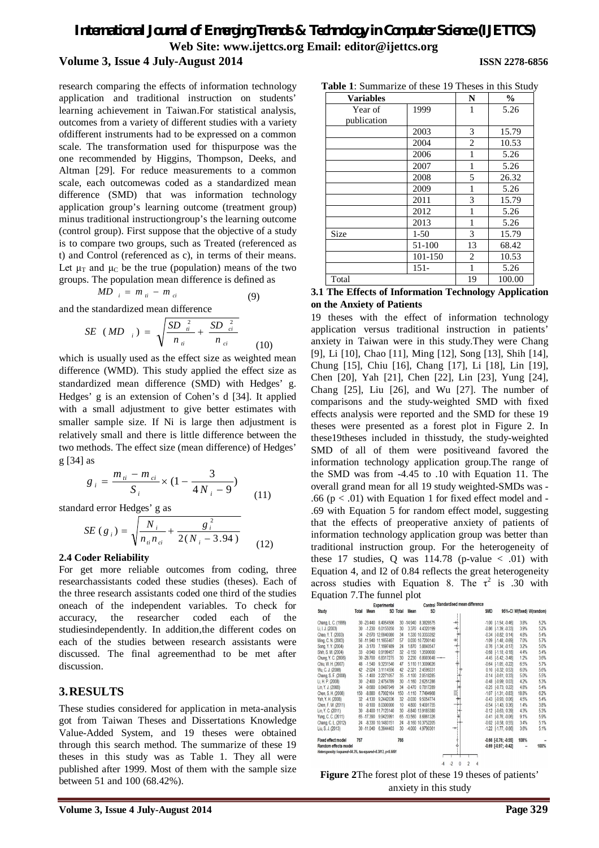research comparing the effects of information technology application and traditional instruction on students' learning achievement in Taiwan.For statistical analysis, outcomes from a variety of different studies with a variety ofdifferent instruments had to be expressed on a common scale. The transformation used for thispurpose was the one recommended by Higgins, Thompson, Deeks, and Altman [29]. For reduce measurements to a common scale, each outcomewas coded as a standardized mean difference (SMD) that was information technology application group's learning outcome (treatment group) minus traditional instructiongroup's the learning outcome (control group). First suppose that the objective of a study is to compare two groups, such as Treated (referenced as t) and Control (referenced as c), in terms of their means. Let  $\mu_T$  and  $\mu_C$  be the true (population) means of the two groups. The population mean difference is defined as

$$
MD_{i} = m_{ii} - m_{ci} \tag{9}
$$

and the standardized mean difference

$$
SE \ (MD_{i}) = \sqrt{\frac{SD_{ii}^{2}}{n_{ii}} + \frac{SD_{ci}^{2}}{n_{ci}}}
$$
 (10)

which is usually used as the effect size as weighted mean difference (WMD). This study applied the effect size as standardized mean difference (SMD) with Hedges' g. Hedges' g is an extension of Cohen's d [34]. It applied with a small adjustment to give better estimates with smaller sample size. If Ni is large then adjustment is relatively small and there is little difference between the two methods. The effect size (mean difference) of Hedges' g [34] as

$$
g_{i} = \frac{m_{ii} - m_{ci}}{S_{i}} \times (1 - \frac{3}{4N_{i} - 9})
$$
 (11)

standard error Hedges' g as

$$
SE(g_i) = \sqrt{\frac{N_i}{n_{ii}n_{ci}} + \frac{g_i^2}{2(N_i - 3.94)}}
$$
(12)

#### **2.4 Coder Reliability**

For get more reliable outcomes from coding, three researchassistants coded these studies (theses). Each of the three research assistants coded one third of the studies oneach of the independent variables. To check for accuracy, the researcher coded each of the studiesindependently. In addition,the different codes on each of the studies between research assistants were discussed. The final agreementhad to be met after discussion.

#### **3.RESULTS**

These studies considered for application in meta-analysis got from Taiwan Theses and Dissertations Knowledge Value-Added System, and 19 theses were obtained through this search method. The summarize of these 19 theses in this study was as Table 1. They all were published after 1999. Most of them with the sample size between 51 and 100 (68.42%).

| <b>Variables</b> | N       | $\%$ |        |
|------------------|---------|------|--------|
| Year of          | 1999    | 1    | 5.26   |
| publication      |         |      |        |
|                  | 2003    | 3    | 15.79  |
|                  | 2004    | 2    | 10.53  |
|                  | 2006    | 1    | 5.26   |
|                  | 2007    | 1    | 5.26   |
|                  | 2008    | 5    | 26.32  |
|                  | 2009    | 1    | 5.26   |
|                  | 2011    | 3    | 15.79  |
|                  | 2012    | 1    | 5.26   |
|                  | 2013    | 1    | 5.26   |
| Size             | $1-50$  | 3    | 15.79  |
|                  | 51-100  | 13   | 68.42  |
|                  | 101-150 | 2    | 10.53  |
|                  | $151 -$ | 1    | 5.26   |
| Total            |         | 19   | 100.00 |

#### **3.1 The Effects of Information Technology Application on the Anxiety of Patients**

19 theses with the effect of information technology application versus traditional instruction in patients' anxiety in Taiwan were in this study.They were Chang [9], Li [10], Chao [11], Ming [12], Song [13], Shih [14], Chung [15], Chiu [16], Chang [17], Li [18], Lin [19], Chen [20], Yah [21], Chen [22], Lin [23], Yung [24], Chang [25], Liu [26], and Wu [27]. The number of comparisons and the study-weighted SMD with fixed effects analysis were reported and the SMD for these 19 theses were presented as a forest plot in Figure 2. In these19theses included in thisstudy, the study-weighted SMD of all of them were positiveand favored the information technology application group.The range of the SMD was from -4.45 to .10 with Equation 11. The overall grand mean for all 19 study weighted-SMDs was - .66 ( $p < .01$ ) with Equation 1 for fixed effect model and -.69 with Equation 5 for random effect model, suggesting that the effects of preoperative anxiety of patients of information technology application group was better than traditional instruction group. For the heterogeneity of these 17 studies, Q was  $114.78$  (p-value  $\lt$  .01) with Equation 4, and I2 of 0.84 reflects the great heterogeneity across studies with Equation 8. The  $\tau^2$  is .30 with Equation 7.The funnel plot

|                                                              |       |             | $\ldots$               |                 |             |                   |                                               |            |                             |       |                           |
|--------------------------------------------------------------|-------|-------------|------------------------|-----------------|-------------|-------------------|-----------------------------------------------|------------|-----------------------------|-------|---------------------------|
|                                                              |       |             | <b>Experimental</b>    |                 |             |                   | Control Standardised mean difference          |            |                             |       |                           |
| <b>Study</b>                                                 | Total | Mean        |                        | <b>SD</b> Total | Mean        | <b>SD</b>         |                                               | <b>SMD</b> |                             |       | 95%-Cl W(fixed) W(random) |
| Chang, L. C. (1999)                                          |       | 30 - 23.440 | 8.4054506              |                 | 30 - 14.940 | 8.3828575         | 곽                                             |            | $-1.00$ $[-1.54; -0.46]$    | 3.8%  | 5.2%                      |
| Li, I. J. (2003)                                             | 30    | $-1,230$    | 6.0155050              | 30              | 3.370       | 4.4320199         |                                               |            | $-0.86$ $[-1.39; -0.33]$    | 3.9%  | 5.2%                      |
| Chao, Y. T. (2003)                                           | 34    |             | -2.670 12.6640080      | 34              |             | 1.330 10.3333392  |                                               |            | $-0.34$ $[-0.82; 0.14]$     | 4.8%  | 5.4%                      |
| Ming, C. N. (2003)                                           |       |             | 56 - 11.940 11.1655407 | 57              |             | 0.030 10.7200140  |                                               |            | $-1.09$ $[-1.48; -0.69]$    | 7.0%  | 5.7%                      |
| Song, Y.Y. (2004)                                            | 24    | $-3.170$    | 7.1697489              | 24              | 1.870       | 5.8840547         |                                               |            | $-0.76$ $[-1.34; -0.17]$    | 3.2%  | 5.0%                      |
| Shih, S. M. (2004)                                           | 33    | $-0.940$    | 0.9199457              | 32              | $-0.150$    | 1.3500000         |                                               |            | $-0.68$ $[-1.18; -0.18]$    | 4.4%  | 5.4%                      |
| Chung, Y. C. (2006)                                          |       | 30 - 28.700 | 6.8317275              | 30              | 2.230       | $6.8903048 -$     |                                               |            | $-4.45$ $[-5.42, -3.48]$    | 1.2%  | 3.6%                      |
| Chiu, W. H. (2007)                                           | 48    | $-1.540$    | 9.3231540              | 47              |             | 5.110 11.3009026  |                                               |            | $-0.64$ $[-1.05; -0.22]$    | 6.5%  | 5.7%                      |
| Wu, C. J. (2008)                                             | 42    | $-2.024$    | 3.1114556              | 42              | $-2.321$    | 24599331          |                                               |            | $0.10$ [ $-0.32$ ; $0.53$ ] | 6.0%  | 5.6%                      |
| Chang, S. F. (2008)                                          | 35    | $-1.400$    | 2.2271057              | 35              | $-1.100$    | 2.0518285         |                                               |            | $-0.14$ $[-0.61; 0.33]$     | 5.0%  | 5.5%                      |
| Li. H. P. (2008)                                             | 30    | $-2.400$    | 2.4754789              | 30              | $-1.160$    | 2.6251286         |                                               |            | $-0.48$ $[-0.99; 0.03]$     | 4.2%  | 5.3%                      |
| Lin, Y. J. (2008)                                            | 34    | $-0.680$    | 0.8487049              | 34              | $-0.470$    | 0.7817289         |                                               |            | $-0.25$ $[-0.73; 0.22]$     | 4.8%  | 5.4%                      |
| Chen, S. H. (2008)                                           | 150   | $-8.880$    | 6.7002164              | 150             | $-1.110$    | 7.7494968         |                                               |            | $-1.07$ $[-1.31; -0.83]$    | 18.8% | 6.2%                      |
| Yah, Y. H. (2008)                                            | 32    | $-4.130$    | 9.2442036              | 32              | $-0.030$    | 9.5054774         |                                               |            | $-0.43$ $[-0.93; 0.06]$     | 4.5%  | 5.4%                      |
| Chen, F. W. (2011)                                           | 10    | $-0.100$    | 8.0300000              | 10              | 4.800       | 9.4001755         |                                               |            | $-0.54$ $[-1.43; 0.36]$     | 1.4%  | 3.8%                      |
| Lin, Y. C. (2011)                                            | 30    |             | -8.400 11.7123140      | 30              |             | -6.840 13.9185380 |                                               |            | $-0.12$ $[-0.63; 0.39]$     | 4.3%  | 5.3%                      |
| Yung, C. C. (2011)                                           |       |             | 65 - 17.390 9.9423991  |                 | 65 - 13.560 | 8.6861326         |                                               |            | $-0.41$ $[-0.76; -0.06]$    | 9.1%  | 5.9%                      |
| Chang, C. L. (2012)                                          | 24    |             | -8.330 10.1483151      | 24              |             | -8.160 10.3752205 |                                               |            | $-0.02$ $[-0.58; 0.55]$     | 3.4%  | 5.1%                      |
| Liu, S. J. (2013)                                            |       | 30 -11,040  | 6.3644403              | 30              | $-4.000$    | 4.9790361         | ÷                                             |            | $-1.22$ $[-1.77, -0.66]$    | 3.6%  | 5.1%                      |
| <b>Fixed effect model</b>                                    | 767   |             |                        | 766             |             |                   |                                               |            | $-0.66$ $[-0.76; -0.55]$    | 100%  |                           |
| <b>Random effects model</b>                                  |       |             |                        |                 |             |                   |                                               |            | $-0.69$ $[-0.97; -0.42]$    |       | 100%                      |
| Heterogeneity: I-squared=84.3%, tau-squared=0.3013, p<0.0001 |       |             |                        |                 |             |                   |                                               |            |                             |       |                           |
|                                                              |       |             |                        |                 |             |                   | $\overline{\phantom{a}}$<br>.2<br>0<br>4<br>4 |            |                             |       |                           |
|                                                              |       |             |                        |                 |             |                   |                                               |            |                             |       |                           |

**Figure 2**The forest plot of these 19 theses of patients' anxiety in this study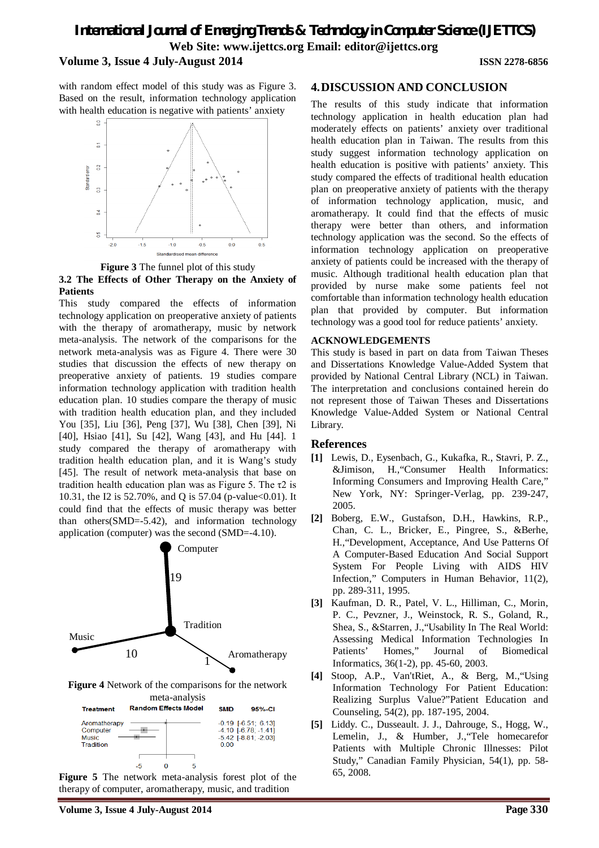with random effect model of this study was as Figure 3. Based on the result, information technology application with health education is negative with patients' anxiety





#### **3.2 The Effects of Other Therapy on the Anxiety of Patients**

This study compared the effects of information technology application on preoperative anxiety of patients with the therapy of aromatherapy, music by network meta-analysis. The network of the comparisons for the network meta-analysis was as Figure 4. There were 30 studies that discussion the effects of new therapy on preoperative anxiety of patients. 19 studies compare information technology application with tradition health education plan. 10 studies compare the therapy of music with tradition health education plan, and they included You [35], Liu [36], Peng [37], Wu [38], Chen [39], Ni [40], Hsiao [41], Su [42], Wang [43], and Hu [44]. 1 study compared the therapy of aromatherapy with tradition health education plan, and it is Wang's study [45]. The result of network meta-analysis that base on tradition health education plan was as Figure 5. The τ2 is 10.31, the I2 is 52.70%, and Q is 57.04 (p-value < 0.01). It could find that the effects of music therapy was better than others(SMD=-5.42), and information technology application (computer) was the second (SMD=-4.10).



**Figure 4** Network of the comparisons for the network meta-analysis

| <b>Treatment</b>                                      | <b>Random Effects Model</b> | 95%-CI<br>SMD                                                                                     |
|-------------------------------------------------------|-----------------------------|---------------------------------------------------------------------------------------------------|
| Aromatherapy<br>Computer<br><b>Music</b><br>Tradition |                             | $-0.19$ $[-6.51; 6.13]$<br>$-4.10$ [ $-6.78$ ; $-1.41$ ]<br>$-5.42$ [ $-8.81$ ; $-2.03$ ]<br>0.00 |
|                                                       |                             |                                                                                                   |
|                                                       | 5<br>-5<br>O                |                                                                                                   |
| m                                                     |                             | $\mathbf{r}$<br>$\sim$<br>$\sim$ $\sim$ $\sim$ $\sim$ $\sim$                                      |

**Figure 5** The network meta-analysis forest plot of the therapy of computer, aromatherapy, music, and tradition

# **4.DISCUSSION AND CONCLUSION**

The results of this study indicate that information technology application in health education plan had moderately effects on patients' anxiety over traditional health education plan in Taiwan. The results from this study suggest information technology application on health education is positive with patients' anxiety. This study compared the effects of traditional health education plan on preoperative anxiety of patients with the therapy of information technology application, music, and aromatherapy. It could find that the effects of music therapy were better than others, and information technology application was the second. So the effects of information technology application on preoperative anxiety of patients could be increased with the therapy of music. Although traditional health education plan that provided by nurse make some patients feel not comfortable than information technology health education plan that provided by computer. But information technology was a good tool for reduce patients' anxiety.

#### **ACKNOWLEDGEMENTS**

This study is based in part on data from Taiwan Theses and Dissertations Knowledge Value-Added System that provided by National Central Library (NCL) in Taiwan. The interpretation and conclusions contained herein do not represent those of Taiwan Theses and Dissertations Knowledge Value-Added System or National Central Library.

#### **References**

- **[1]** Lewis, D., Eysenbach, G., Kukafka, R., Stavri, P. Z., &Jimison, H.,"Consumer Health Informatics: Informing Consumers and Improving Health Care," New York, NY: Springer-Verlag, pp. 239-247, 2005.
- **[2]** Boberg, E.W., Gustafson, D.H., Hawkins, R.P., Chan, C. L., Bricker, E., Pingree, S., &Berhe, H.,"Development, Acceptance, And Use Patterns Of A Computer-Based Education And Social Support System For People Living with AIDS HIV Infection," Computers in Human Behavior, 11(2), pp. 289-311, 1995.
- **[3]** Kaufman, D. R., Patel, V. L., Hilliman, C., Morin, P. C., Pevzner, J., Weinstock, R. S., Goland, R., Shea, S., &Starren, J.,"Usability In The Real World: Assessing Medical Information Technologies In Patients' Homes," Journal of Biomedical Informatics, 36(1-2), pp. 45-60, 2003.
- **[4]** Stoop, A.P., Van'tRiet, A., & Berg, M.,"Using Information Technology For Patient Education: Realizing Surplus Value?"Patient Education and Counseling, 54(2), pp. 187-195, 2004.
- **[5]** Liddy. C., Dusseault. J. J., Dahrouge, S., Hogg, W., Lemelin, J., & Humber, J.,"Tele homecarefor Patients with Multiple Chronic Illnesses: Pilot Study," Canadian Family Physician, 54(1), pp. 58- 65, 2008.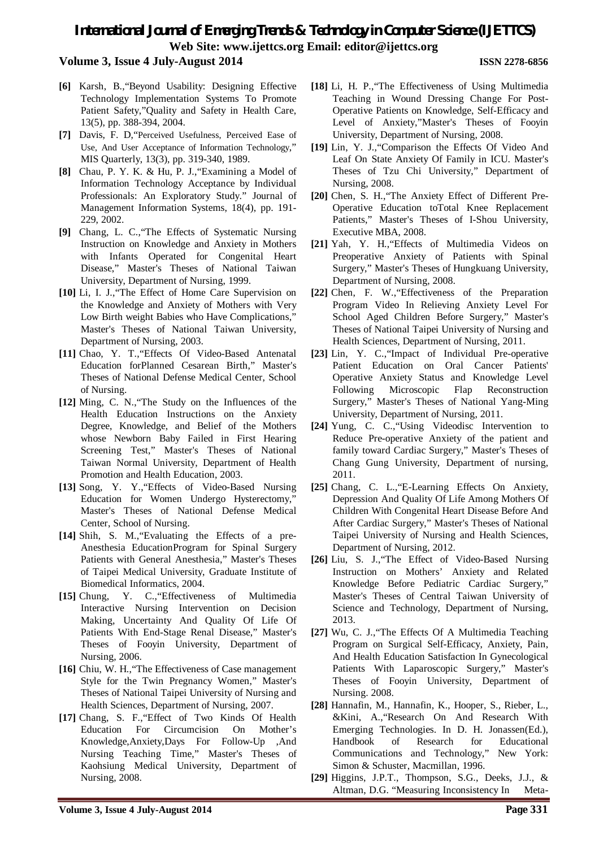# *International Journal of Emerging Trends & Technology in Computer Science (IJETTCS)* **Web Site: www.ijettcs.org Email: editor@ijettcs.org**

#### **Volume 3, Issue 4 July-August 2014 ISSN 2278-6856**

- **[6]** Karsh, B.,"Beyond Usability: Designing Effective Technology Implementation Systems To Promote Patient Safety,"Quality and Safety in Health Care, 13(5), pp. 388-394, 2004.
- **[7]** Davis, F. D,"Perceived Usefulness, Perceived Ease of Use, And User Acceptance of Information Technology," MIS Quarterly, 13(3), pp. 319-340, 1989.
- **[8]** Chau, P. Y. K. & Hu, P. J.,"Examining a Model of Information Technology Acceptance by Individual Professionals: An Exploratory Study." Journal of Management Information Systems, 18(4), pp. 191- 229, 2002.
- **[9]** Chang, L. C.,"The Effects of Systematic Nursing Instruction on Knowledge and Anxiety in Mothers with Infants Operated for Congenital Heart Disease," Master's Theses of National Taiwan University, Department of Nursing, 1999.
- **[10]** Li, I. J.,"The Effect of Home Care Supervision on the Knowledge and Anxiety of Mothers with Very Low Birth weight Babies who Have Complications," Master's Theses of National Taiwan University, Department of Nursing, 2003.
- **[11]** Chao, Y. T.,"Effects Of Video-Based Antenatal Education forPlanned Cesarean Birth," Master's Theses of National Defense Medical Center, School of Nursing.
- **[12]** Ming, C. N.,"The Study on the Influences of the Health Education Instructions on the Anxiety Degree, Knowledge, and Belief of the Mothers whose Newborn Baby Failed in First Hearing Screening Test," Master's Theses of National Taiwan Normal University, Department of Health Promotion and Health Education, 2003.
- **[13]** Song, Y. Y.,"Effects of Video-Based Nursing Education for Women Undergo Hysterectomy," Master's Theses of National Defense Medical Center, School of Nursing.
- **[14]** Shih, S. M.,"Evaluating the Effects of a pre-Anesthesia EducationProgram for Spinal Surgery Patients with General Anesthesia," Master's Theses of Taipei Medical University, Graduate Institute of Biomedical Informatics, 2004.
- **[15]** Chung, Y. C.,"Effectiveness of Multimedia Interactive Nursing Intervention on Decision Making, Uncertainty And Quality Of Life Of Patients With End-Stage Renal Disease," Master's Theses of Fooyin University, Department of Nursing, 2006.
- **[16]** Chiu, W. H.,"The Effectiveness of Case management Style for the Twin Pregnancy Women," Master's Theses of National Taipei University of Nursing and Health Sciences, Department of Nursing, 2007.
- **[17]** Chang, S. F.,"Effect of Two Kinds Of Health Education For Circumcision On Mother's Knowledge,Anxiety,Days For Follow-Up ,And Nursing Teaching Time," Master's Theses of Kaohsiung Medical University, Department of Nursing, 2008.
- **[18]** Li, H. P.,"The Effectiveness of Using Multimedia Teaching in Wound Dressing Change For Post-Operative Patients on Knowledge, Self-Efficacy and Level of Anxiety,"Master's Theses of Fooyin University, Department of Nursing, 2008.
- **[19]** Lin, Y. J.,"Comparison the Effects Of Video And Leaf On State Anxiety Of Family in ICU. Master's Theses of Tzu Chi University," Department of Nursing, 2008.
- **[20]** Chen, S. H.,"The Anxiety Effect of Different Pre-Operative Education toTotal Knee Replacement Patients," Master's Theses of I-Shou University, Executive MBA, 2008.
- **[21]** Yah, Y. H.,"Effects of Multimedia Videos on Preoperative Anxiety of Patients with Spinal Surgery," Master's Theses of Hungkuang University, Department of Nursing, 2008.
- **[22]** Chen, F. W.,"Effectiveness of the Preparation Program Video In Relieving Anxiety Level For School Aged Children Before Surgery," Master's Theses of National Taipei University of Nursing and Health Sciences, Department of Nursing, 2011.
- **[23]** Lin, Y. C.,"Impact of Individual Pre-operative Patient Education on Oral Cancer Patients' Operative Anxiety Status and Knowledge Level Following Microscopic Flap Reconstruction Surgery," Master's Theses of National Yang-Ming University, Department of Nursing, 2011.
- **[24]** Yung, C. C.,"Using Videodisc Intervention to Reduce Pre-operative Anxiety of the patient and family toward Cardiac Surgery," Master's Theses of Chang Gung University, Department of nursing, 2011.
- [25] Chang, C. L., "E-Learning Effects On Anxiety, Depression And Quality Of Life Among Mothers Of Children With Congenital Heart Disease Before And After Cardiac Surgery," Master's Theses of National Taipei University of Nursing and Health Sciences, Department of Nursing, 2012.
- **[26]** Liu, S. J.,"The Effect of Video-Based Nursing Instruction on Mothers' Anxiety and Related Knowledge Before Pediatric Cardiac Surgery," Master's Theses of Central Taiwan University of Science and Technology, Department of Nursing, 2013.
- **[27]** Wu, C. J.,"The Effects Of A Multimedia Teaching Program on Surgical Self-Efficacy, Anxiety, Pain, And Health Education Satisfaction In Gynecological Patients With Laparoscopic Surgery," Master's Theses of Fooyin University, Department of Nursing. 2008.
- **[28]** Hannafin, M., Hannafin, K., Hooper, S., Rieber, L., &Kini, A.,"Research On And Research With Emerging Technologies. In D. H. Jonassen(Ed.), Handbook of Research for Educational Communications and Technology," New York: Simon & Schuster, Macmillan, 1996.
- **[29]** Higgins, J.P.T., Thompson, S.G., Deeks, J.J., & Altman, D.G. "Measuring Inconsistency In Meta-